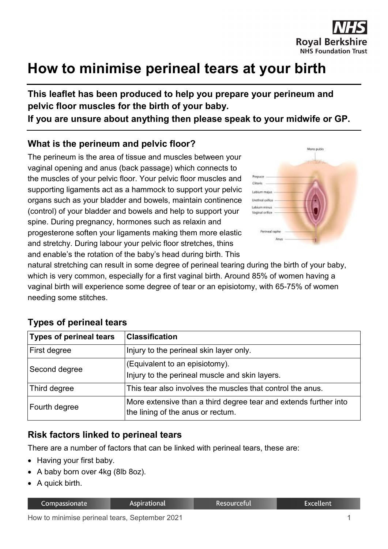

# **How to minimise perineal tears at your birth**

**This leaflet has been produced to help you prepare your perineum and pelvic floor muscles for the birth of your baby.**

**If you are unsure about anything then please speak to your midwife or GP.**

# **What is the perineum and pelvic floor?**

The perineum is the area of tissue and muscles between your vaginal opening and anus (back passage) which connects to the muscles of your pelvic floor. Your pelvic floor muscles and supporting ligaments act as a hammock to support your pelvic organs such as your bladder and bowels, maintain continence (control) of your bladder and bowels and help to support your spine. During pregnancy, hormones such as relaxin and progesterone soften your ligaments making them more elastic and stretchy. During labour your pelvic floor stretches, thins and enable's the rotation of the baby's head during birth. This



natural stretching can result in some degree of perineal tearing during the birth of your baby, which is very common, especially for a first vaginal birth. Around 85% of women having a vaginal birth will experience some degree of tear or an episiotomy, with 65-75% of women needing some stitches.

| <b>Types of perineal tears</b> | <b>Classification</b>                                                                                 |  |  |
|--------------------------------|-------------------------------------------------------------------------------------------------------|--|--|
| First degree                   | Injury to the perineal skin layer only.                                                               |  |  |
| Second degree                  | (Equivalent to an episiotomy).<br>Injury to the perineal muscle and skin layers.                      |  |  |
| Third degree                   | This tear also involves the muscles that control the anus.                                            |  |  |
| Fourth degree                  | More extensive than a third degree tear and extends further into<br>the lining of the anus or rectum. |  |  |

## **Types of perineal tears**

## **Risk factors linked to perineal tears**

There are a number of factors that can be linked with perineal tears, these are:

- Having your first baby.
- A baby born over 4kg (8lb 8oz).
- A quick birth.

| Compassionate |
|---------------|
|               |

**Aspirational** 

Resourceful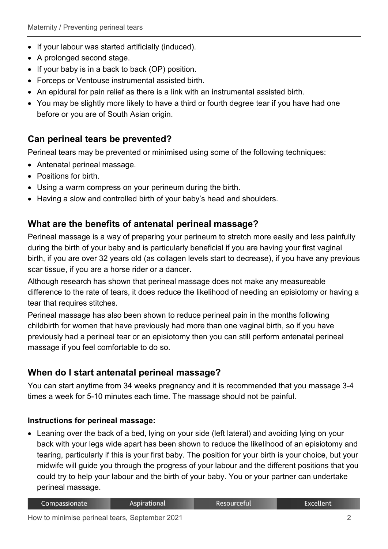- If your labour was started artificially (induced).
- A prolonged second stage.
- If your baby is in a back to back (OP) position.
- Forceps or Ventouse instrumental assisted birth.
- An epidural for pain relief as there is a link with an instrumental assisted birth.
- You may be slightly more likely to have a third or fourth degree tear if you have had one before or you are of South Asian origin.

## **Can perineal tears be prevented?**

Perineal tears may be prevented or minimised using some of the following techniques:

- Antenatal perineal massage.
- Positions for birth.
- Using a warm compress on your perineum during the birth.
- Having a slow and controlled birth of your baby's head and shoulders.

## **What are the benefits of antenatal perineal massage?**

Perineal massage is a way of preparing your perineum to stretch more easily and less painfully during the birth of your baby and is particularly beneficial if you are having your first vaginal birth, if you are over 32 years old (as collagen levels start to decrease), if you have any previous scar tissue, if you are a horse rider or a dancer.

Although research has shown that perineal massage does not make any measureable difference to the rate of tears, it does reduce the likelihood of needing an episiotomy or having a tear that requires stitches.

Perineal massage has also been shown to reduce perineal pain in the months following childbirth for women that have previously had more than one vaginal birth, so if you have previously had a perineal tear or an episiotomy then you can still perform antenatal perineal massage if you feel comfortable to do so.

## **When do I start antenatal perineal massage?**

You can start anytime from 34 weeks pregnancy and it is recommended that you massage 3-4 times a week for 5-10 minutes each time. The massage should not be painful.

#### **Instructions for perineal massage:**

• Leaning over the back of a bed, lying on your side (left lateral) and avoiding lying on your back with your legs wide apart has been shown to reduce the likelihood of an episiotomy and tearing, particularly if this is your first baby. The position for your birth is your choice, but your midwife will guide you through the progress of your labour and the different positions that you could try to help your labour and the birth of your baby. You or your partner can undertake perineal massage.

|  | Compassionate | <b>Aspirational</b> | <b>Resourceful</b> | <b>Excellent</b> |
|--|---------------|---------------------|--------------------|------------------|
|--|---------------|---------------------|--------------------|------------------|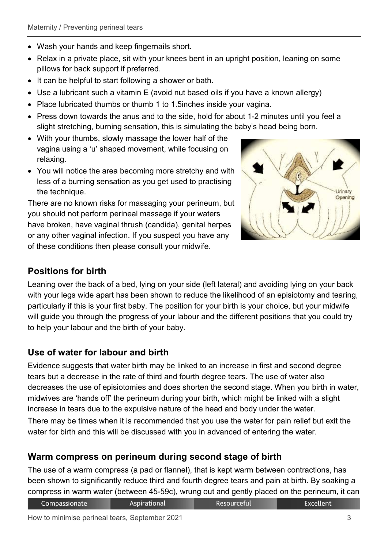- Wash your hands and keep fingernails short.
- Relax in a private place, sit with your knees bent in an upright position, leaning on some pillows for back support if preferred.
- It can be helpful to start following a shower or bath.
- Use a lubricant such a vitamin E (avoid nut based oils if you have a known allergy)
- Place lubricated thumbs or thumb 1 to 1.5inches inside your vagina.
- Press down towards the anus and to the side, hold for about 1-2 minutes until you feel a slight stretching, burning sensation, this is simulating the baby's head being born.
- With your thumbs, slowly massage the lower half of the vagina using a 'u' shaped movement, while focusing on relaxing.
- You will notice the area becoming more stretchy and with less of a burning sensation as you get used to practising the technique.

There are no known risks for massaging your perineum, but you should not perform perineal massage if your waters have broken, have vaginal thrush (candida), genital herpes or any other vaginal infection. If you suspect you have any of these conditions then please consult your midwife.



# **Positions for birth**

Leaning over the back of a bed, lying on your side (left lateral) and avoiding lying on your back with your legs wide apart has been shown to reduce the likelihood of an episiotomy and tearing, particularly if this is your first baby. The position for your birth is your choice, but your midwife will guide you through the progress of your labour and the different positions that you could try to help your labour and the birth of your baby.

# **Use of water for labour and birth**

Evidence suggests that water birth may be linked to an increase in first and second degree tears but a decrease in the rate of third and fourth degree tears. The use of water also decreases the use of episiotomies and does shorten the second stage. When you birth in water, midwives are 'hands off' the perineum during your birth, which might be linked with a slight increase in tears due to the expulsive nature of the head and body under the water.

There may be times when it is recommended that you use the water for pain relief but exit the water for birth and this will be discussed with you in advanced of entering the water.

# **Warm compress on perineum during second stage of birth**

The use of a warm compress (a pad or flannel), that is kept warm between contractions, has been shown to significantly reduce third and fourth degree tears and pain at birth. By soaking a compress in warm water (between 45-59c), wrung out and gently placed on the perineum, it can

| Compassionate | Aspirational | Resourceful |  |
|---------------|--------------|-------------|--|
|---------------|--------------|-------------|--|